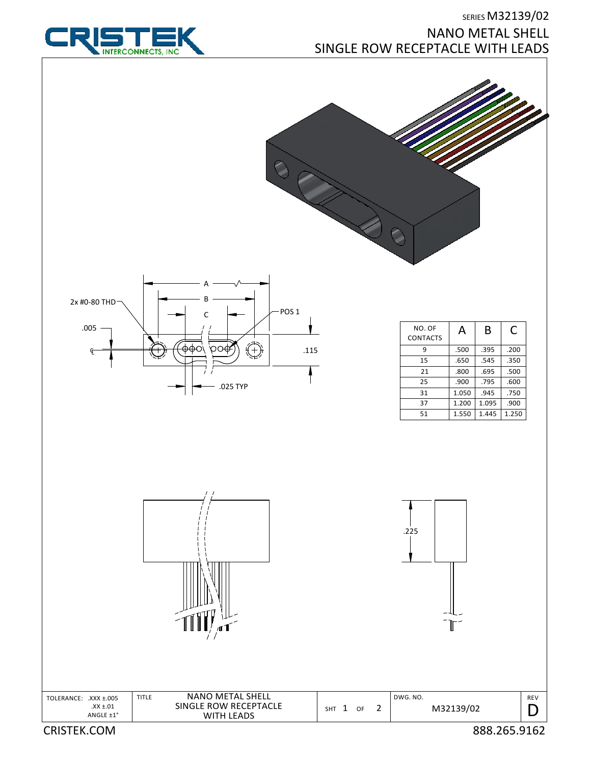

## SERIES M32139/02 NANO METAL SHELL SINGLE ROW RECEPTACLE WITH LEADS





| NO. OF<br><b>CONTACTS</b> | А     | B     | C     |
|---------------------------|-------|-------|-------|
| q                         | .500  | .395  | .200  |
| 15                        | .650  | .545  | .350  |
| 21                        | .800  | .695  | .500  |
| 25                        | .900  | .795  | .600  |
| 31                        | 1.050 | .945  | .750  |
| 37                        | 1.200 | 1.095 | .900  |
| 51                        | 1.550 | 1.445 | 1.250 |











TITLE

CRISTEK.COM 888.265.9162

REV